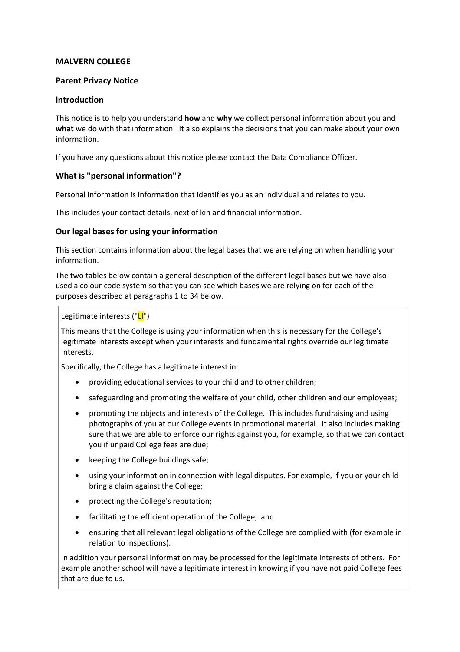## **MALVERN COLLEGE**

## **Parent Privacy Notice**

## **Introduction**

This notice is to help you understand **how** and **why** we collect personal information about you and **what** we do with that information. It also explains the decisions that you can make about your own information.

If you have any questions about this notice please contact the Data Compliance Officer.

# **What is "personal information"?**

Personal information is information that identifies you as an individual and relates to you.

This includes your contact details, next of kin and financial information.

# **Our legal bases for using your information**

This section contains information about the legal bases that we are relying on when handling your information.

The two tables below contain a general description of the different legal bases but we have also used a colour code system so that you can see which bases we are relying on for each of the purposes described at paragraphs 1 to 34 below.

# Legitimate interests ("LI")

This means that the College is using your information when this is necessary for the College's legitimate interests except when your interests and fundamental rights override our legitimate interests.

Specifically, the College has a legitimate interest in:

- providing educational services to your child and to other children;
- safeguarding and promoting the welfare of your child, other children and our employees;
- promoting the objects and interests of the College. This includes fundraising and using photographs of you at our College events in promotional material. It also includes making sure that we are able to enforce our rights against you, for example, so that we can contact you if unpaid College fees are due;
- keeping the College buildings safe;
- using your information in connection with legal disputes. For example, if you or your child bring a claim against the College;
- protecting the College's reputation;
- facilitating the efficient operation of the College; and
- ensuring that all relevant legal obligations of the College are complied with (for example in relation to inspections).

In addition your personal information may be processed for the legitimate interests of others. For example another school will have a legitimate interest in knowing if you have not paid College fees that are due to us.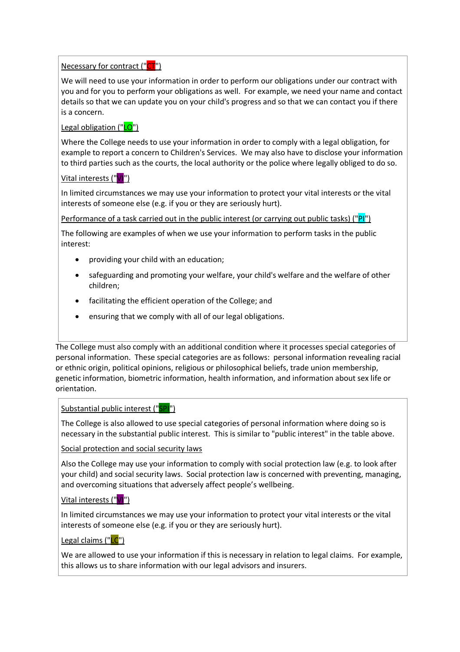Necessary for contract ("CT")

We will need to use your information in order to perform our obligations under our contract with you and for you to perform your obligations as well. For example, we need your name and contact details so that we can update you on your child's progress and so that we can contact you if there is a concern.

Legal obligation ("LO")

Where the College needs to use your information in order to comply with a legal obligation, for example to report a concern to Children's Services. We may also have to disclose your information to third parties such as the courts, the local authority or the police where legally obliged to do so.

Vital interests ("VI")

In limited circumstances we may use your information to protect your vital interests or the vital interests of someone else (e.g. if you or they are seriously hurt).

Performance of a task carried out in the public interest (or carrying out public tasks) ("PI")

The following are examples of when we use your information to perform tasks in the public interest:

- providing your child with an education;
- safeguarding and promoting your welfare, your child's welfare and the welfare of other children;
- facilitating the efficient operation of the College; and
- ensuring that we comply with all of our legal obligations.

The College must also comply with an additional condition where it processes special categories of personal information. These special categories are as follows: personal information revealing racial or ethnic origin, political opinions, religious or philosophical beliefs, trade union membership, genetic information, biometric information, health information, and information about sex life or orientation.

### Substantial public interest ("SPI")

The College is also allowed to use special categories of personal information where doing so is necessary in the substantial public interest. This is similar to "public interest" in the table above.

Social protection and social security laws

Also the College may use your information to comply with social protection law (e.g. to look after your child) and social security laws. Social protection law is concerned with preventing, managing, and overcoming situations that adversely affect people's wellbeing.

Vital interests ("VI")

In limited circumstances we may use your information to protect your vital interests or the vital interests of someone else (e.g. if you or they are seriously hurt).

Legal claims ("LC")

We are allowed to use your information if this is necessary in relation to legal claims. For example, this allows us to share information with our legal advisors and insurers.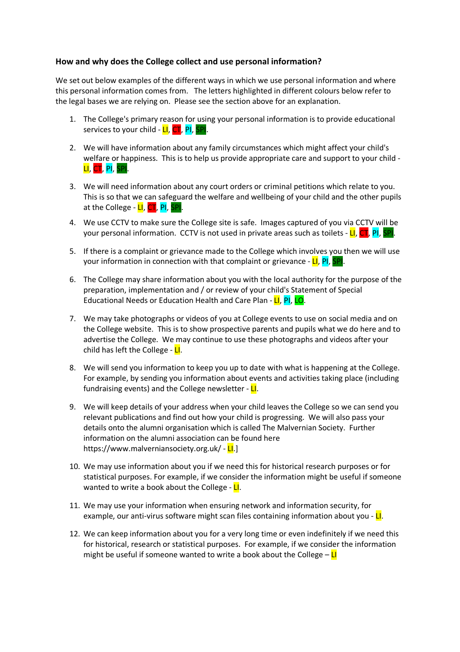# **How and why does the College collect and use personal information?**

We set out below examples of the different ways in which we use personal information and where this personal information comes from. The letters highlighted in different colours below refer to the legal bases we are relying on. Please see the section above for an explanation.

- 1. The College's primary reason for using your personal information is to provide educational services to your child - LI, CT, PI,
- 2. We will have information about any family circumstances which might affect your child's welfare or happiness. This is to help us provide appropriate care and support to your child - LI, CT, PI, SPI.
- 3. We will need information about any court orders or criminal petitions which relate to you. This is so that we can safeguard the welfare and wellbeing of your child and the other pupils at the College - LI, CT, PI, SPI
- 4. We use CCTV to make sure the College site is safe. Images captured of you via CCTV will be your personal information. CCTV is not used in private areas such as toilets - LI, CT, PI, SPI.
- 5. If there is a complaint or grievance made to the College which involves you then we will use your information in connection with that complaint or grievance - LI, PI, SPI.
- 6. The College may share information about you with the local authority for the purpose of the preparation, implementation and / or review of your child's Statement of Special Educational Needs or Education Health and Care Plan - LI, PI, LO.
- 7. We may take photographs or videos of you at College events to use on social media and on the College website. This is to show prospective parents and pupils what we do here and to advertise the College. We may continue to use these photographs and videos after your child has left the College -  $L$ .
- 8. We will send you information to keep you up to date with what is happening at the College. For example, by sending you information about events and activities taking place (including fundraising events) and the College newsletter -  $L$ .
- 9. We will keep details of your address when your child leaves the College so we can send you relevant publications and find out how your child is progressing. We will also pass your details onto the alumni organisation which is called The Malvernian Society. Further information on the alumni association can be found here https://www.malverniansociety.org.uk/ - LI.]
- 10. We may use information about you if we need this for historical research purposes or for statistical purposes. For example, if we consider the information might be useful if someone wanted to write a book about the College -  $LI$ .
- 11. We may use your information when ensuring network and information security, for example, our anti-virus software might scan files containing information about you - LI.
- 12. We can keep information about you for a very long time or even indefinitely if we need this for historical, research or statistical purposes. For example, if we consider the information might be useful if someone wanted to write a book about the College  $-\frac{L}{L}$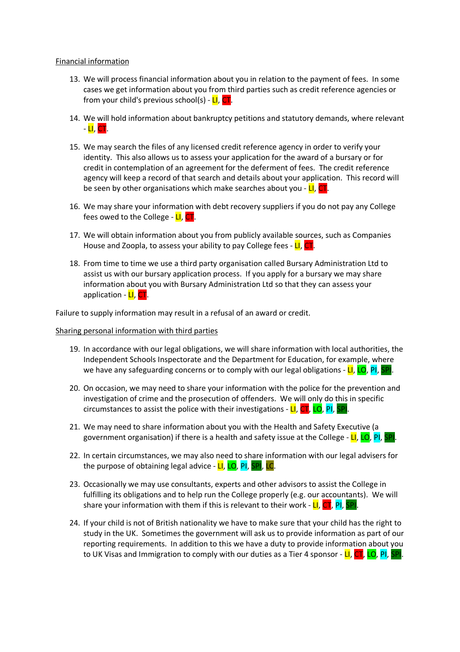### Financial information

- 13. We will process financial information about you in relation to the payment of fees. In some cases we get information about you from third parties such as credit reference agencies or from your child's previous school(s) - LI, CT.
- 14. We will hold information about bankruptcy petitions and statutory demands, where relevant - LI, CT.
- 15. We may search the files of any licensed credit reference agency in order to verify your identity. This also allows us to assess your application for the award of a bursary or for credit in contemplation of an agreement for the deferment of fees. The credit reference agency will keep a record of that search and details about your application. This record will be seen by other organisations which make searches about you -  $LI$ ,  $CT$ .
- 16. We may share your information with debt recovery suppliers if you do not pay any College fees owed to the College - **LI**, CT.
- 17. We will obtain information about you from publicly available sources, such as Companies House and Zoopla, to assess your ability to pay College fees - LI, CT.
- 18. From time to time we use a third party organisation called Bursary Administration Ltd to assist us with our bursary application process. If you apply for a bursary we may share information about you with Bursary Administration Ltd so that they can assess your application - LI, CT

Failure to supply information may result in a refusal of an award or credit.

#### Sharing personal information with third parties

- 19. In accordance with our legal obligations, we will share information with local authorities, the Independent Schools Inspectorate and the Department for Education, for example, where we have any safeguarding concerns or to comply with our legal obligations - LI, LO, PI, SPI.
- 20. On occasion, we may need to share your information with the police for the prevention and investigation of crime and the prosecution of offenders. We will only do this in specific circumstances to assist the police with their investigations -  $LI$ ,  $CT$ ,  $LO$ ,  $PI$ , SPI.
- 21. We may need to share information about you with the Health and Safety Executive (a government organisation) if there is a health and safety issue at the College - LI, LO, PI, SPI.
- 22. In certain circumstances, we may also need to share information with our legal advisers for the purpose of obtaining legal advice -  $LI$ ,  $LO$ ,  $PI$ ,  $SPI$ ,  $LC$ .
- 23. Occasionally we may use consultants, experts and other advisors to assist the College in fulfilling its obligations and to help run the College properly (e.g. our accountants). We will share your information with them if this is relevant to their work -  $LI$ ,  $CT$ ,  $PI$ ,  $SPI$ .
- 24. If your child is not of British nationality we have to make sure that your child has the right to study in the UK. Sometimes the government will ask us to provide information as part of our reporting requirements. In addition to this we have a duty to provide information about you to UK Visas and Immigration to comply with our duties as a Tier 4 sponsor - LI, CT, LO, PI, SPI.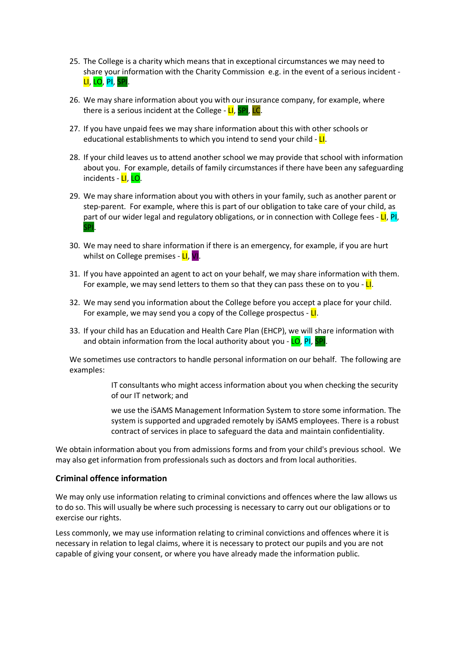- 25. The College is a charity which means that in exceptional circumstances we may need to share your information with the Charity Commission e.g. in the event of a serious incident - LI, LO, PI, SPI.
- 26. We may share information about you with our insurance company, for example, where there is a serious incident at the College - LI, SPI, LC.
- 27. If you have unpaid fees we may share information about this with other schools or educational establishments to which you intend to send your child -  $L$ .
- 28. If your child leaves us to attend another school we may provide that school with information about you. For example, details of family circumstances if there have been any safeguarding incidents - LI, LO.
- 29. We may share information about you with others in your family, such as another parent or step-parent. For example, where this is part of our obligation to take care of your child, as part of our wider legal and regulatory obligations, or in connection with College fees -  $LI$ ,  $PI$ , SPI.
- 30. We may need to share information if there is an emergency, for example, if you are hurt whilst on College premises - LI, VI.
- 31. If you have appointed an agent to act on your behalf, we may share information with them. For example, we may send letters to them so that they can pass these on to you -  $L\cdot$
- 32. We may send you information about the College before you accept a place for your child. For example, we may send you a copy of the College prospectus -  $L$ .
- 33. If your child has an Education and Health Care Plan (EHCP), we will share information with and obtain information from the local authority about you -  $LO$ ,  $PI$ , SPI.

We sometimes use contractors to handle personal information on our behalf. The following are examples:

> IT consultants who might access information about you when checking the security of our IT network; and

> we use the iSAMS Management Information System to store some information. The system is supported and upgraded remotely by iSAMS employees. There is a robust contract of services in place to safeguard the data and maintain confidentiality.

We obtain information about you from admissions forms and from your child's previous school. We may also get information from professionals such as doctors and from local authorities.

### **Criminal offence information**

We may only use information relating to criminal convictions and offences where the law allows us to do so. This will usually be where such processing is necessary to carry out our obligations or to exercise our rights.

Less commonly, we may use information relating to criminal convictions and offences where it is necessary in relation to legal claims, where it is necessary to protect our pupils and you are not capable of giving your consent, or where you have already made the information public.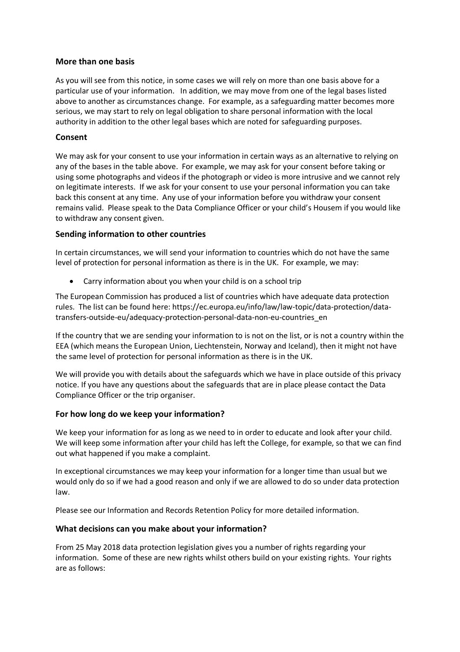## **More than one basis**

As you will see from this notice, in some cases we will rely on more than one basis above for a particular use of your information. In addition, we may move from one of the legal bases listed above to another as circumstances change. For example, as a safeguarding matter becomes more serious, we may start to rely on legal obligation to share personal information with the local authority in addition to the other legal bases which are noted for safeguarding purposes.

## **Consent**

We may ask for your consent to use your information in certain ways as an alternative to relying on any of the bases in the table above. For example, we may ask for your consent before taking or using some photographs and videos if the photograph or video is more intrusive and we cannot rely on legitimate interests. If we ask for your consent to use your personal information you can take back this consent at any time. Any use of your information before you withdraw your consent remains valid. Please speak to the Data Compliance Officer or your child's Housem if you would like to withdraw any consent given.

## **Sending information to other countries**

In certain circumstances, we will send your information to countries which do not have the same level of protection for personal information as there is in the UK. For example, we may:

• Carry information about you when your child is on a school trip

The European Commission has produced a list of countries which have adequate data protection rules. The list can be found here: https://ec.europa.eu/info/law/law-topic/data-protection/datatransfers-outside-eu/adequacy-protection-personal-data-non-eu-countries\_en

If the country that we are sending your information to is not on the list, or is not a country within the EEA (which means the European Union, Liechtenstein, Norway and Iceland), then it might not have the same level of protection for personal information as there is in the UK.

We will provide you with details about the safeguards which we have in place outside of this privacy notice. If you have any questions about the safeguards that are in place please contact the Data Compliance Officer or the trip organiser.

# **For how long do we keep your information?**

We keep your information for as long as we need to in order to educate and look after your child. We will keep some information after your child has left the College, for example, so that we can find out what happened if you make a complaint.

In exceptional circumstances we may keep your information for a longer time than usual but we would only do so if we had a good reason and only if we are allowed to do so under data protection law.

Please see our Information and Records Retention Policy for more detailed information.

# **What decisions can you make about your information?**

From 25 May 2018 data protection legislation gives you a number of rights regarding your information. Some of these are new rights whilst others build on your existing rights. Your rights are as follows: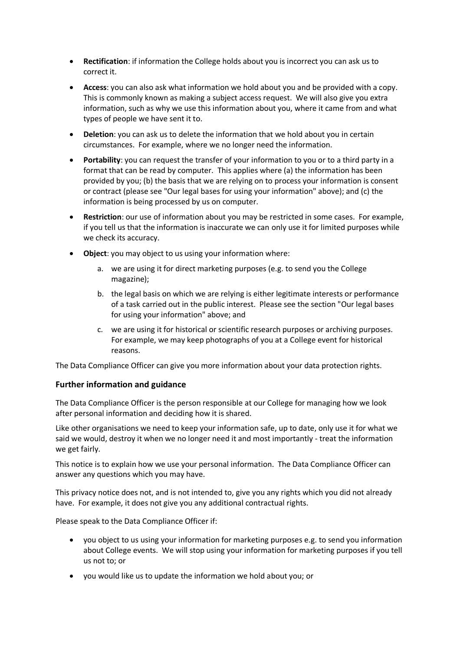- **Rectification**: if information the College holds about you is incorrect you can ask us to correct it.
- **Access**: you can also ask what information we hold about you and be provided with a copy. This is commonly known as making a subject access request. We will also give you extra information, such as why we use this information about you, where it came from and what types of people we have sent it to.
- **Deletion**: you can ask us to delete the information that we hold about you in certain circumstances. For example, where we no longer need the information.
- **Portability**: you can request the transfer of your information to you or to a third party in a format that can be read by computer. This applies where (a) the information has been provided by you; (b) the basis that we are relying on to process your information is consent or contract (please see "Our legal bases for using your information" above); and (c) the information is being processed by us on computer.
- **Restriction**: our use of information about you may be restricted in some cases. For example, if you tell us that the information is inaccurate we can only use it for limited purposes while we check its accuracy.
- **Object**: you may object to us using your information where:
	- a. we are using it for direct marketing purposes (e.g. to send you the College magazine);
	- b. the legal basis on which we are relying is either legitimate interests or performance of a task carried out in the public interest. Please see the section "Our legal bases for using your information" above; and
	- c. we are using it for historical or scientific research purposes or archiving purposes. For example, we may keep photographs of you at a College event for historical reasons.

The Data Compliance Officer can give you more information about your data protection rights.

# **Further information and guidance**

The Data Compliance Officer is the person responsible at our College for managing how we look after personal information and deciding how it is shared.

Like other organisations we need to keep your information safe, up to date, only use it for what we said we would, destroy it when we no longer need it and most importantly - treat the information we get fairly.

This notice is to explain how we use your personal information. The Data Compliance Officer can answer any questions which you may have.

This privacy notice does not, and is not intended to, give you any rights which you did not already have. For example, it does not give you any additional contractual rights.

Please speak to the Data Compliance Officer if:

- you object to us using your information for marketing purposes e.g. to send you information about College events. We will stop using your information for marketing purposes if you tell us not to; or
- you would like us to update the information we hold about you; or